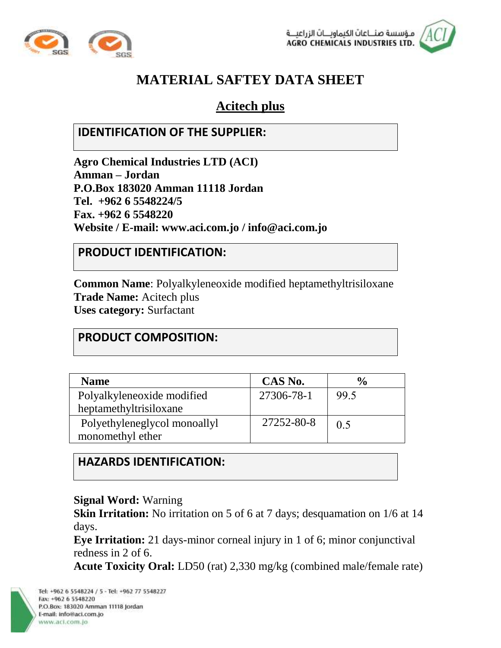



# **MATERIAL SAFTEY DATA SHEET**

# **Acitech plus**

#### **IDENTIFICATION OF THE SUPPLIER:**

**Agro Chemical Industries LTD (ACI) Amman – Jordan P.O.Box 183020 Amman 11118 Jordan Tel. +962 6 5548224/5 Fax. +962 6 5548220 Website / E-mail: [www.aci.com.jo](http://www.aci.com.jo/) / [info@aci.com.jo](mailto:info@aci.com.jo)**

#### **PRODUCT IDENTIFICATION:**

**Common Name**: Polyalkyleneoxide modified heptamethyltrisiloxane **Trade Name:** Acitech plus **Uses category:** Surfactant

#### **PRODUCT COMPOSITION:**

| <b>Name</b>                  | CAS No.    | $\frac{6}{9}$ |
|------------------------------|------------|---------------|
| Polyalkyleneoxide modified   | 27306-78-1 | 99.5          |
| heptamethyltrisiloxane       |            |               |
| Polyethyleneglycol monoallyl | 27252-80-8 | 0.5           |
|                              |            |               |
| monomethyl ether             |            |               |

#### **HAZARDS IDENTIFICATION:**

#### **Signal Word:** Warning

**Skin Irritation:** No irritation on 5 of 6 at 7 days; desquamation on 1/6 at 14 days.

**Eye Irritation:** 21 days-minor corneal injury in 1 of 6; minor conjunctival redness in 2 of 6.

**Acute Toxicity Oral:** LD50 (rat) 2,330 mg/kg (combined male/female rate)

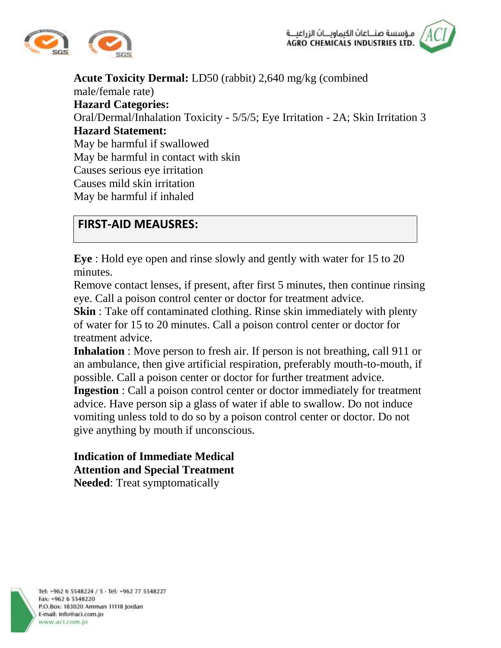



**Acute Toxicity Dermal:** LD50 (rabbit) 2,640 mg/kg (combined male/female rate) **Hazard Categories:** Oral/Dermal/Inhalation Toxicity - 5/5/5; Eye Irritation - 2A; Skin Irritation 3 **Hazard Statement:** May be harmful if swallowed May be harmful in contact with skin Causes serious eye irritation Causes mild skin irritation May be harmful if inhaled

#### **FIRST-AID MEAUSRES:**

**Eye** : Hold eye open and rinse slowly and gently with water for 15 to 20 minutes.

Remove contact lenses, if present, after first 5 minutes, then continue rinsing eye. Call a poison control center or doctor for treatment advice.

**Skin**: Take off contaminated clothing. Rinse skin immediately with plenty of water for 15 to 20 minutes. Call a poison control center or doctor for treatment advice.

**Inhalation** : Move person to fresh air. If person is not breathing, call 911 or an ambulance, then give artificial respiration, preferably mouth-to-mouth, if possible. Call a poison center or doctor for further treatment advice.

**Ingestion** : Call a poison control center or doctor immediately for treatment advice. Have person sip a glass of water if able to swallow. Do not induce vomiting unless told to do so by a poison control center or doctor. Do not give anything by mouth if unconscious.

#### **Indication of Immediate Medical Attention and Special Treatment Needed**: Treat symptomatically

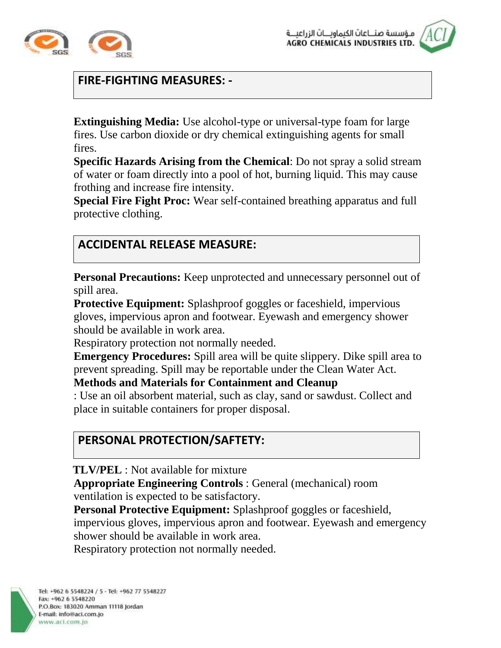



### **FIRE-FIGHTING MEASURES: -**

**Extinguishing Media:** Use alcohol-type or universal-type foam for large fires. Use carbon dioxide or dry chemical extinguishing agents for small fires.

**Specific Hazards Arising from the Chemical**: Do not spray a solid stream of water or foam directly into a pool of hot, burning liquid. This may cause frothing and increase fire intensity.

**Special Fire Fight Proc:** Wear self-contained breathing apparatus and full protective clothing.

### **ACCIDENTAL RELEASE MEASURE:**

**Personal Precautions:** Keep unprotected and unnecessary personnel out of spill area.

**Protective Equipment:** Splashproof goggles or faceshield, impervious gloves, impervious apron and footwear. Eyewash and emergency shower should be available in work area.

Respiratory protection not normally needed.

**Emergency Procedures:** Spill area will be quite slippery. Dike spill area to prevent spreading. Spill may be reportable under the Clean Water Act.

#### **Methods and Materials for Containment and Cleanup**

: Use an oil absorbent material, such as clay, sand or sawdust. Collect and place in suitable containers for proper disposal.

## **PERSONAL PROTECTION/SAFTETY:**

**TLV/PEL** : Not available for mixture

**Appropriate Engineering Controls** : General (mechanical) room ventilation is expected to be satisfactory.

**Personal Protective Equipment:** Splashproof goggles or faceshield, impervious gloves, impervious apron and footwear. Eyewash and emergency shower should be available in work area.

Respiratory protection not normally needed.

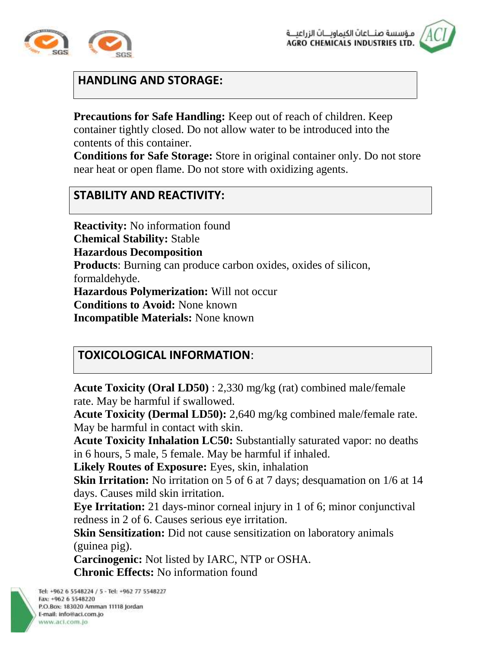



#### **HANDLING AND STORAGE:**

**Precautions for Safe Handling:** Keep out of reach of children. Keep container tightly closed. Do not allow water to be introduced into the contents of this container.

**Conditions for Safe Storage:** Store in original container only. Do not store near heat or open flame. Do not store with oxidizing agents.

#### **STABILITY AND REACTIVITY:**

**Reactivity:** No information found **Chemical Stability:** Stable **Hazardous Decomposition Products**: Burning can produce carbon oxides, oxides of silicon, formaldehyde. **Hazardous Polymerization:** Will not occur **Conditions to Avoid:** None known **Incompatible Materials:** None known

#### **TOXICOLOGICAL INFORMATION**:

**Acute Toxicity (Oral LD50)** : 2,330 mg/kg (rat) combined male/female rate. May be harmful if swallowed.

**Acute Toxicity (Dermal LD50):** 2,640 mg/kg combined male/female rate. May be harmful in contact with skin.

**Acute Toxicity Inhalation LC50:** Substantially saturated vapor: no deaths in 6 hours, 5 male, 5 female. May be harmful if inhaled.

**Likely Routes of Exposure:** Eyes, skin, inhalation

**Skin Irritation:** No irritation on 5 of 6 at 7 days; desquamation on 1/6 at 14 days. Causes mild skin irritation.

**Eye Irritation:** 21 days-minor corneal injury in 1 of 6; minor conjunctival redness in 2 of 6. Causes serious eye irritation.

**Skin Sensitization:** Did not cause sensitization on laboratory animals (guinea pig).

**Carcinogenic:** Not listed by IARC, NTP or OSHA. **Chronic Effects:** No information found